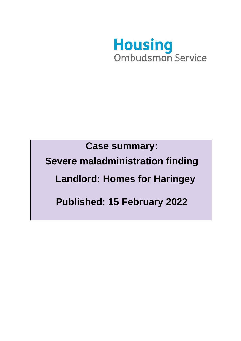

**Case summary:** 

**Severe maladministration finding** 

 **Landlord: Homes for Haringey**

**Published: 15 February 2022**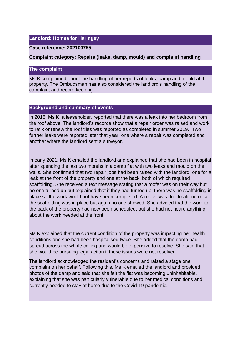## **Landlord: Homes for Haringey**

#### **Case reference: 202100755**

### **Complaint category: Repairs (leaks, damp, mould) and complaint handling**

## **The complaint**

Ms K complained about the handling of her reports of leaks, damp and mould at the property. The Ombudsman has also considered the landlord's handling of the complaint and record keeping.

#### **Background and summary of events**

In 2018, Ms K, a leaseholder, reported that there was a leak into her bedroom from the roof above. The landlord's records show that a repair order was raised and work to refix or renew the roof tiles was reported as completed in summer 2019. Two further leaks were reported later that year, one where a repair was completed and another where the landlord sent a surveyor.

In early 2021, Ms K emailed the landlord and explained that she had been in hospital after spending the last two months in a damp flat with two leaks and mould on the walls. She confirmed that two repair jobs had been raised with the landlord, one for a leak at the front of the property and one at the back, both of which required scaffolding. She received a text message stating that a roofer was on their way but no one turned up but explained that if they had turned up, there was no scaffolding in place so the work would not have been completed. A roofer was due to attend once the scaffolding was in place but again no one showed. She advised that the work to the back of the property had now been scheduled, but she had not heard anything about the work needed at the front.

Ms K explained that the current condition of the property was impacting her health conditions and she had been hospitalised twice. She added that the damp had spread across the whole ceiling and would be expensive to resolve. She said that she would be pursuing legal action if these issues were not resolved.

The landlord acknowledged the resident's concerns and raised a stage one complaint on her behalf. Following this, Ms K emailed the landlord and provided photos of the damp and said that she felt the flat was becoming uninhabitable, explaining that she was particularly vulnerable due to her medical conditions and currently needed to stay at home due to the Covid-19 pandemic.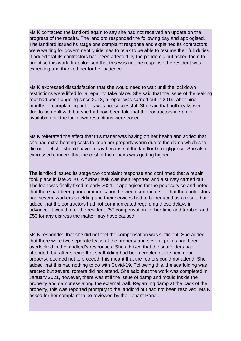Ms K contacted the landlord again to say she had not received an update on the progress of the repairs. The landlord responded the following day and apologised. The landlord issued its stage one complaint response and explained its contractors were waiting for government guidelines to relax to be able to resume their full duties. It added that its contractors had been affected by the pandemic but asked them to prioritise this work. It apologised that this was not the response the resident was expecting and thanked her for her patience.

Ms K expressed dissatisfaction that she would need to wait until the lockdown restrictions were lifted for a repair to take place. She said that the issue of the leaking roof had been ongoing since 2018, a repair was carried out in 2019, after nine months of complaining but this was not successful. She said that both leaks were due to be dealt with but she had now been told that the contractors were not available until the lockdown restrictions were eased.

Ms K reiterated the effect that this matter was having on her health and added that she had extra heating costs to keep her property warm due to the damp which she did not feel she should have to pay because of the landlord's negligence. She also expressed concern that the cost of the repairs was getting higher.

The landlord issued its stage two complaint response and confirmed that a repair took place in late 2020. A further leak was then reported and a survey carried out. The leak was finally fixed in early 2021. It apologised for the poor service and noted that there had been poor communication between contractors. It that the contractors had several workers shielding and their services had to be reduced as a result, but added that the contractors had not communicated regarding these delays in advance. It would offer the resident £50 compensation for her time and trouble, and £50 for any distress the matter may have caused.

Ms K responded that she did not feel the compensation was sufficient. She added that there were two separate leaks at the property and several points had been overlooked in the landlord's responses. She advised that the scaffolders had attended, but after seeing that scaffolding had been erected at the next door property, decided not to proceed, this meant that the roofers could not attend. She added that this had nothing to do with Covid-19. Following this, the scaffolding was erected but several roofers did not attend. She said that the work was completed in January 2021, however, there was still the issue of damp and mould inside the property and dampness along the external wall. Regarding damp at the back of the property, this was reported promptly to the landlord but had not been resolved. Ms K asked for her complaint to be reviewed by the Tenant Panel.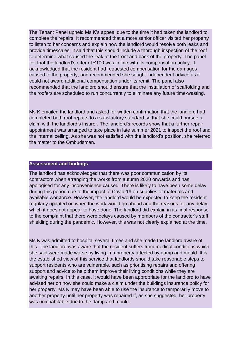The Tenant Panel upheld Ms K's appeal due to the time it had taken the landlord to complete the repairs. It recommended that a more senior officer visited her property to listen to her concerns and explain how the landlord would resolve both leaks and provide timescales. It said that this should include a thorough inspection of the roof to determine what caused the leak at the front and back of the property. The panel felt that the landlord's offer of £100 was in line with its compensation policy. It acknowledged that the resident had requested compensation for the damages caused to the property, and recommended she sought independent advice as it could not award additional compensation under its remit. The panel also recommended that the landlord should ensure that the installation of scaffolding and the roofers are scheduled to run concurrently to eliminate any future time-wasting.

Ms K emailed the landlord and asked for written confirmation that the landlord had completed both roof repairs to a satisfactory standard so that she could pursue a claim with the landlord's insurer. The landlord's records show that a further repair appointment was arranged to take place in late summer 2021 to inspect the roof and the internal ceiling. As she was not satisfied with the landlord's position, she referred the matter to the Ombudsman.

#### **Assessment and findings**

The landlord has acknowledged that there was poor communication by its contractors when arranging the works from autumn 2020 onwards and has apologised for any inconvenience caused. There is likely to have been some delay during this period due to the impact of Covid-19 on supplies of materials and available workforce. However, the landlord would be expected to keep the resident regularly updated on when the work would go ahead and the reasons for any delay, which it does not appear to have done. The landlord did explain in its final response to the complaint that there were delays caused by members of the contractor's staff shielding during the pandemic. However, this was not clearly explained at the time.

Ms K was admitted to hospital several times and she made the landlord aware of this. The landlord was aware that the resident suffers from medical conditions which she said were made worse by living in a property affected by damp and mould. It is the established view of this service that landlords should take reasonable steps to support residents who are vulnerable, such as prioritising repairs and offering support and advice to help them improve their living conditions while they are awaiting repairs. In this case, it would have been appropriate for the landlord to have advised her on how she could make a claim under the buildings insurance policy for her property. Ms K may have been able to use the insurance to temporarily move to another property until her property was repaired if, as she suggested, her property was uninhabitable due to the damp and mould.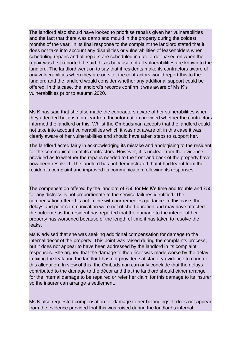The landlord also should have looked to prioritise repairs given her vulnerabilities and the fact that there was damp and mould in the property during the coldest months of the year. In its final response to the complaint the landlord stated that it does not take into account any disabilities or vulnerabilities of leaseholders when scheduling repairs and all repairs are scheduled in date order based on when the repair was first reported. It said this is because not all vulnerabilities are known to the landlord. The landlord went on to say that if residents make its contractors aware of any vulnerabilities when they are on site, the contractors would report this to the landlord and the landlord would consider whether any additional support could be offered. In this case, the landlord's records confirm it was aware of Ms K's vulnerabilities prior to autumn 2020.

Ms K has said that she also made the contractors aware of her vulnerabilities when they attended but it is not clear from the information provided whether the contractors informed the landlord or this. Whilst the Ombudsman accepts that the landlord could not take into account vulnerabilities which it was not aware of, in this case it was clearly aware of her vulnerabilities and should have taken steps to support her.

The landlord acted fairly in acknowledging its mistake and apologising to the resident for the communication of its contractors. However, it is unclear from the evidence provided as to whether the repairs needed to the front and back of the property have now been resolved. The landlord has not demonstrated that it had learnt from the resident's complaint and improved its communication following its responses.

The compensation offered by the landlord of £50 for Ms K's time and trouble and £50 for any distress is not proportionate to the service failures identified. The compensation offered is not in line with our remedies guidance. In this case, the delays and poor communication were not of short duration and may have affected the outcome as the resident has reported that the damage to the interior of her property has worsened because of the length of time it has taken to resolve the leaks.

Ms K advised that she was seeking additional compensation for damage to the internal décor of the property. This point was raised during the complaints process, but it does not appear to have been addressed by the landlord in its complaint responses. She argued that the damage to the décor was made worse by the delay in fixing the leak and the landlord has not provided satisfactory evidence to counter this allegation. In view of this, the Ombudsman can only conclude that the delays contributed to the damage to the décor and that the landlord should either arrange for the internal damage to be repaired or refer her claim for this damage to its insurer so the insurer can arrange a settlement.

Ms K also requested compensation for damage to her belongings. It does not appear from the evidence provided that this was raised during the landlord's internal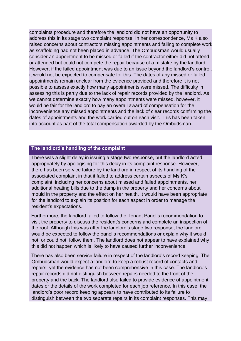complaints procedure and therefore the landlord did not have an opportunity to address this in its stage two complaint response. In her correspondence, Ms K also raised concerns about contractors missing appointments and failing to complete work as scaffolding had not been placed in advance. The Ombudsman would usually consider an appointment to be missed or failed if the contractor either did not attend or attended but could not compete the repair because of a mistake by the landlord. However, if the failed appointment was due to an issue beyond the landlord's control, it would not be expected to compensate for this. The dates of any missed or failed appointments remain unclear from the evidence provided and therefore it is not possible to assess exactly how many appointments were missed. The difficulty in assessing this is partly due to the lack of repair records provided by the landlord. As we cannot determine exactly how many appointments were missed, however, it would be fair for the landlord to pay an overall award of compensation for the inconvenience any missed appointments and the lack of clear records confirming the dates of appointments and the work carried out on each visit. This has been taken into account as part of the total compensation awarded by the Ombudsman.

# **The landlord's handling of the complaint**

There was a slight delay in issuing a stage two response, but the landlord acted appropriately by apologising for this delay in its complaint response. However, there has been service failure by the landlord in respect of its handling of the associated complaint in that it failed to address certain aspects of Ms K's complaint, including her concerns about missed and failed appointments, her additional heating bills due to the damp in the property and her concerns about mould in the property and the effect on her health. It would have been appropriate for the landlord to explain its position for each aspect in order to manage the resident's expectations.

Furthermore, the landlord failed to follow the Tenant Panel's recommendation to visit the property to discuss the resident's concerns and complete an inspection of the roof. Although this was after the landlord's stage two response, the landlord would be expected to follow the panel's recommendations or explain why it would not, or could not, follow them. The landlord does not appear to have explained why this did not happen which is likely to have caused further inconvenience.

There has also been service failure in respect of the landlord's record keeping. The Ombudsman would expect a landlord to keep a robust record of contacts and repairs, yet the evidence has not been comprehensive in this case. The landlord's repair records did not distinguish between repairs needed to the front of the property and the back. The landlord also failed to provide evidence of appointment dates or the details of the work completed for each job reference. In this case, the landlord's poor record keeping appears to have contributed to its failure to distinguish between the two separate repairs in its complaint responses. This may